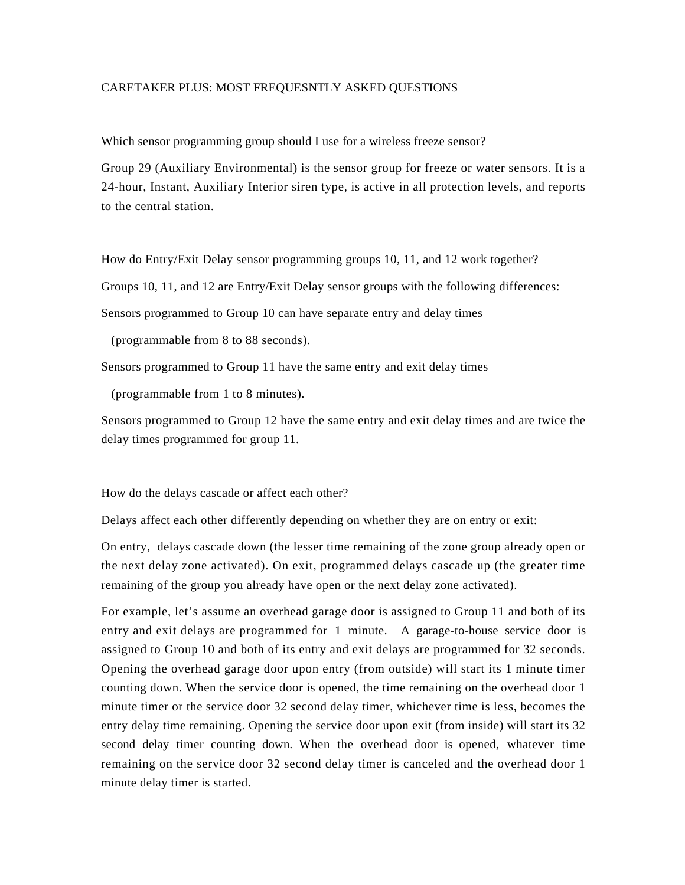## CARETAKER PLUS: MOST FREQUESNTLY ASKED QUESTIONS

Which sensor programming group should I use for a wireless freeze sensor?

Group 29 (Auxiliary Environmental) is the sensor group for freeze or water sensors. It is a 24-hour, Instant, Auxiliary Interior siren type, is active in all protection levels, and reports to the central station.

How do Entry/Exit Delay sensor programming groups 10, 11, and 12 work together?

Groups 10, 11, and 12 are Entry/Exit Delay sensor groups with the following differences:

Sensors programmed to Group 10 can have separate entry and delay times

(programmable from 8 to 88 seconds).

Sensors programmed to Group 11 have the same entry and exit delay times

(programmable from 1 to 8 minutes).

Sensors programmed to Group 12 have the same entry and exit delay times and are twice the delay times programmed for group 11.

How do the delays cascade or affect each other?

Delays affect each other differently depending on whether they are on entry or exit:

On entry, delays cascade down (the lesser time remaining of the zone group already open or the next delay zone activated). On exit, programmed delays cascade up (the greater time remaining of the group you already have open or the next delay zone activated).

For example, let's assume an overhead garage door is assigned to Group 11 and both of its entry and exit delays are programmed for 1 minute. A garage-to-house service door is assigned to Group 10 and both of its entry and exit delays are programmed for 32 seconds. Opening the overhead garage door upon entry (from outside) will start its 1 minute timer counting down. When the service door is opened, the time remaining on the overhead door 1 minute timer or the service door 32 second delay timer, whichever time is less, becomes the entry delay time remaining. Opening the service door upon exit (from inside) will start its 32 second delay timer counting down. When the overhead door is opened, whatever time remaining on the service door 32 second delay timer is canceled and the overhead door 1 minute delay timer is started.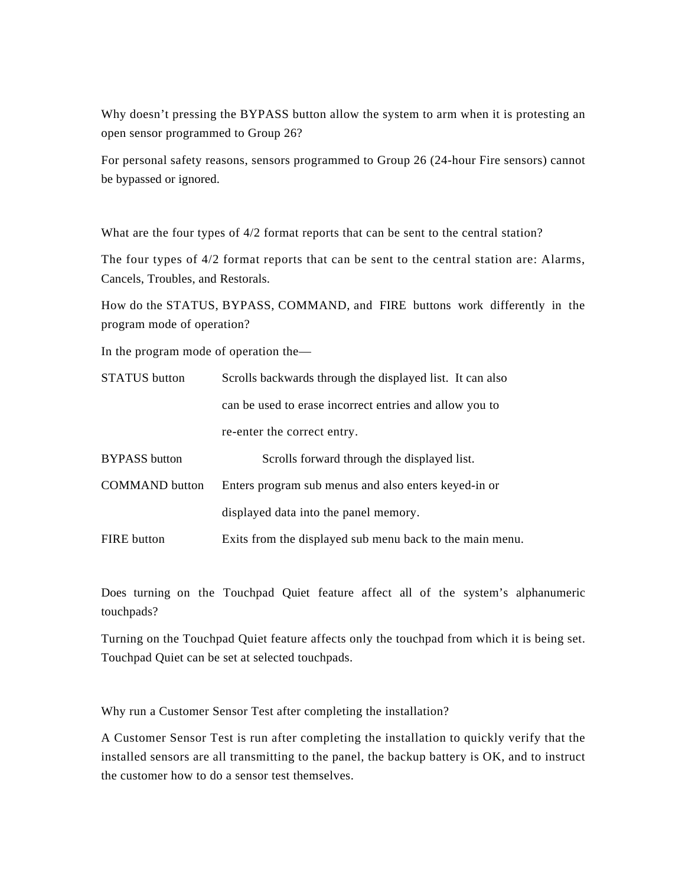Why doesn't pressing the BYPASS button allow the system to arm when it is protesting an open sensor programmed to Group 26?

For personal safety reasons, sensors programmed to Group 26 (24-hour Fire sensors) cannot be bypassed or ignored.

What are the four types of 4/2 format reports that can be sent to the central station?

The four types of 4/2 format reports that can be sent to the central station are: Alarms, Cancels, Troubles, and Restorals.

How do the STATUS, BYPASS, COMMAND, and FIRE buttons work differently in the program mode of operation?

In the program mode of operation the—

| <b>STATUS</b> button  | Scrolls backwards through the displayed list. It can also |  |
|-----------------------|-----------------------------------------------------------|--|
|                       | can be used to erase incorrect entries and allow you to   |  |
|                       | re-enter the correct entry.                               |  |
| <b>BYPASS</b> button  | Scrolls forward through the displayed list.               |  |
| <b>COMMAND</b> button | Enters program sub menus and also enters keyed-in or      |  |
|                       | displayed data into the panel memory.                     |  |
| <b>FIRE</b> button    | Exits from the displayed sub menu back to the main menu.  |  |

Does turning on the Touchpad Quiet feature affect all of the system's alphanumeric touchpads?

Turning on the Touchpad Quiet feature affects only the touchpad from which it is being set. Touchpad Quiet can be set at selected touchpads.

Why run a Customer Sensor Test after completing the installation?

A Customer Sensor Test is run after completing the installation to quickly verify that the installed sensors are all transmitting to the panel, the backup battery is OK, and to instruct the customer how to do a sensor test themselves.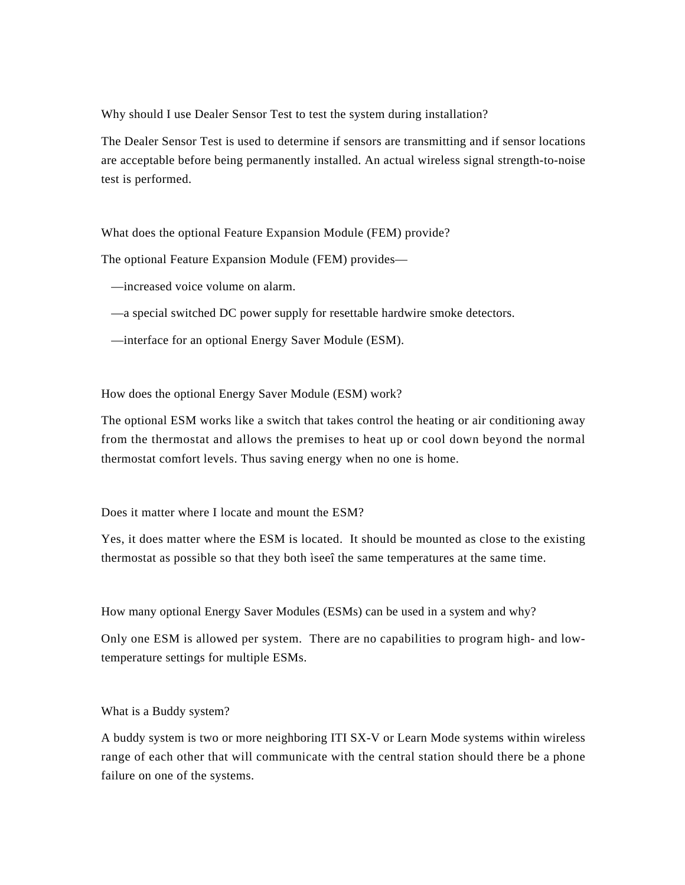Why should I use Dealer Sensor Test to test the system during installation?

The Dealer Sensor Test is used to determine if sensors are transmitting and if sensor locations are acceptable before being permanently installed. An actual wireless signal strength-to-noise test is performed.

What does the optional Feature Expansion Module (FEM) provide?

The optional Feature Expansion Module (FEM) provides—

—increased voice volume on alarm.

—a special switched DC power supply for resettable hardwire smoke detectors.

—interface for an optional Energy Saver Module (ESM).

How does the optional Energy Saver Module (ESM) work?

The optional ESM works like a switch that takes control the heating or air conditioning away from the thermostat and allows the premises to heat up or cool down beyond the normal thermostat comfort levels. Thus saving energy when no one is home.

Does it matter where I locate and mount the ESM?

Yes, it does matter where the ESM is located. It should be mounted as close to the existing thermostat as possible so that they both ìseeî the same temperatures at the same time.

How many optional Energy Saver Modules (ESMs) can be used in a system and why?

Only one ESM is allowed per system. There are no capabilities to program high- and lowtemperature settings for multiple ESMs.

What is a Buddy system?

A buddy system is two or more neighboring ITI SX-V or Learn Mode systems within wireless range of each other that will communicate with the central station should there be a phone failure on one of the systems.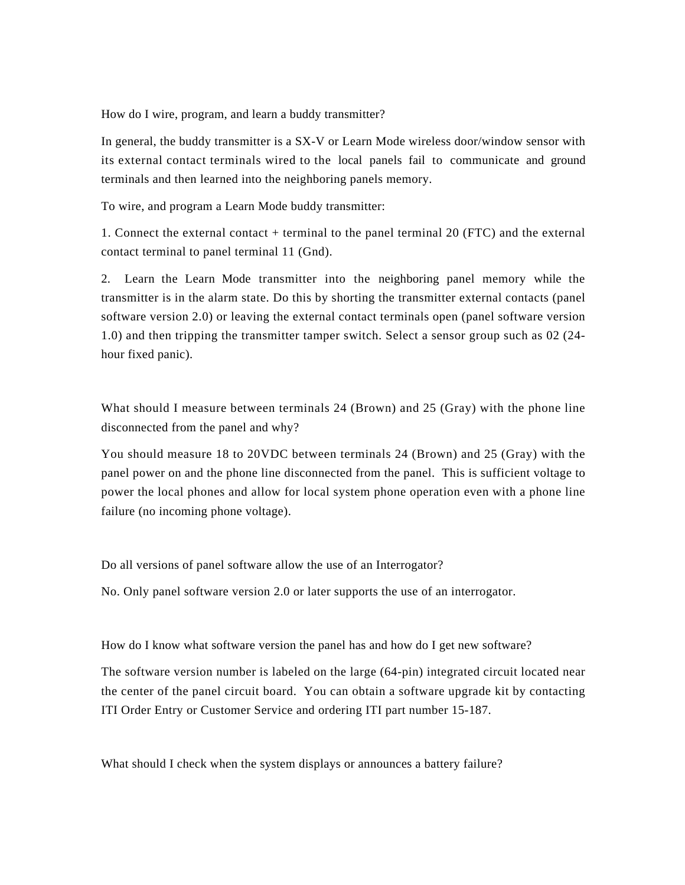How do I wire, program, and learn a buddy transmitter?

In general, the buddy transmitter is a SX-V or Learn Mode wireless door/window sensor with its external contact terminals wired to the local panels fail to communicate and ground terminals and then learned into the neighboring panels memory.

To wire, and program a Learn Mode buddy transmitter:

1. Connect the external contact + terminal to the panel terminal 20 (FTC) and the external contact terminal to panel terminal 11 (Gnd).

2. Learn the Learn Mode transmitter into the neighboring panel memory while the transmitter is in the alarm state. Do this by shorting the transmitter external contacts (panel software version 2.0) or leaving the external contact terminals open (panel software version 1.0) and then tripping the transmitter tamper switch. Select a sensor group such as 02 (24 hour fixed panic).

What should I measure between terminals 24 (Brown) and 25 (Gray) with the phone line disconnected from the panel and why?

You should measure 18 to 20VDC between terminals 24 (Brown) and 25 (Gray) with the panel power on and the phone line disconnected from the panel. This is sufficient voltage to power the local phones and allow for local system phone operation even with a phone line failure (no incoming phone voltage).

Do all versions of panel software allow the use of an Interrogator?

No. Only panel software version 2.0 or later supports the use of an interrogator.

How do I know what software version the panel has and how do I get new software?

The software version number is labeled on the large (64-pin) integrated circuit located near the center of the panel circuit board. You can obtain a software upgrade kit by contacting ITI Order Entry or Customer Service and ordering ITI part number 15-187.

What should I check when the system displays or announces a battery failure?